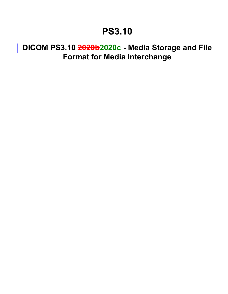## **PS3.10**

## **DICOM PS3.10 2020b2020c - Media Storage and File Format for Media Interchange**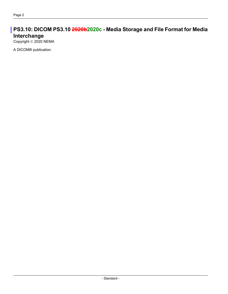## **PS3.10: DICOM PS3.10 2020b2020c - Media Storage and File Format for Media Interchange**

Copyright © 2020 NEMA

A DICOM® publication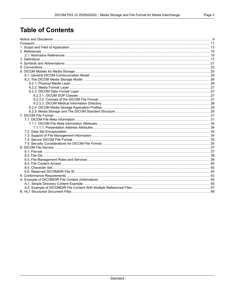## **Table of Contents**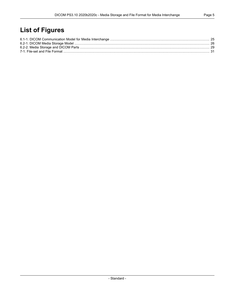## **List of Figures**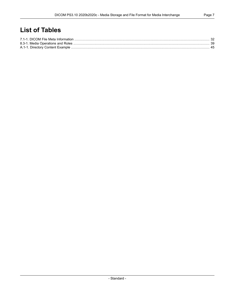## **List of Tables**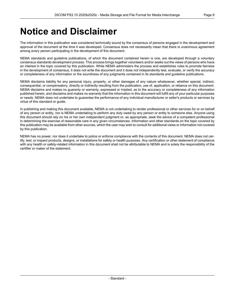## <span id="page-8-0"></span>**Notice and Disclaimer**

The information in this publication was considered technically sound by the consensus of persons engaged in the development and approval of the document at the time it was developed. Consensus does not necessarily mean that there is unanimous agreement among every person participating in the development of this document.

NEMA standards and guideline publications, of which the document contained herein is one, are developed through a voluntary consensus standards development process. This process brings together volunteers and/or seeks out the views of persons who have an interest in the topic covered by this publication. While NEMA administers the process and establishes rules to promote fairness in the development of consensus, it does not write the document and it does not independently test, evaluate, or verify the accuracy or completeness of any information or the soundness of any judgments contained in its standards and guideline publications.

NEMA disclaims liability for any personal injury, property, or other damages of any nature whatsoever, whether special, indirect, consequential, or compensatory, directly or indirectly resulting from the publication, use of, application, or reliance on this document. NEMA disclaims and makes no guaranty or warranty, expressed or implied, as to the accuracy or completeness of any information published herein, and disclaims and makes no warranty that the information in this document will fulfill any of your particular purposes or needs. NEMA does not undertake to guarantee the performance of any individual manufacturer or seller's products or services by virtue of this standard or guide.

In publishing and making this document available, NEMA is not undertaking to render professional or other services for or on behalf of any person or entity, nor is NEMA undertaking to perform any duty owed by any person or entity to someone else. Anyone using this document should rely on his or her own independent judgment or, as appropriate, seek the advice of a competent professional in determining the exercise of reasonable care in any given circumstances. Information and other standards on the topic covered by this publication may be available from other sources, which the user may wish to consult for additional views or information not covered by this publication.

NEMA has no power, nor does it undertake to police or enforce compliance with the contents of this document. NEMA does not cer tify, test, or inspect products, designs, or installations for safety or health purposes. Any certification or other statement of compliance with any health or safety-related information in this document shall not be attributable to NEMA and is solely the responsibility of the certifier or maker of the statement.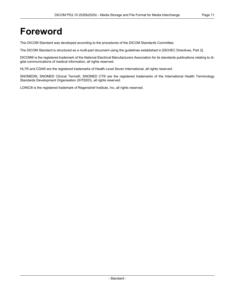## <span id="page-10-0"></span>**Foreword**

This DICOM Standard was developed according to the procedures of the DICOM Standards Committee.

The DICOM Standard is structured as a multi-part document using the guidelines established in [ISO/IEC [Directives,](#page-14-2) Part 2].

DICOM® is the registered trademark of the National Electrical Manufacturers Association for its standards publications relating to di gital communications of medical information, all rights reserved.

HL7® and CDA® are the registered trademarks of Health Level Seven International, all rights reserved.

SNOMED®, SNOMED Clinical Terms®, SNOMED CT® are the registered trademarks of the International Health Terminology Standards Development Organisation (IHTSDO), all rights reserved.

LOINC® is the registered trademark of Regenstrief Institute, Inc, all rights reserved.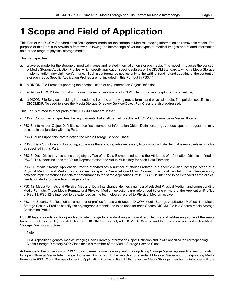# <span id="page-12-0"></span>**1 Scope and Field of Application**

This Part of the DICOM Standard specifies a general model for the storage of Medical Imaging information on removable media. The purpose of this Part is to provide a framework allowing the interchange of various types of medical images and related information on a broad range of physical storage media.

This Part specifies:

- a. a layered model for the storage of medical images and related information on storage media. This model introduces the concept of Media Storage Application Profiles, which specify application specific subsets of the DICOM Standard to which a Media Storage implementation may claim conformance. Such a conformance applies only to the writing, reading and updating of the content of storage media. Specific Application Profiles are not included in this Part but in [PS3.11](part11.pdf#PS3.11);
- b. a DICOM File Format supporting the encapsulation of any Information Object Definition;
- c. a Secure DICOM File Format supporting the encapsulation of a DICOM File Format in a cryptographic envelope;
- d. a DICOM File Service providing independence from the underlying media format and physical media. The policies specific to the DICOMDIR file used to store the Media Storage Directory Service/Object Pair Class are also addressed.

This Part is related to other parts of the DICOM Standard in that:

- [PS3.2](part02.pdf#PS3.2), Conformance, specifies the requirements that shall be met to achieve DICOM Conformance in Media Storage;
- [PS3.3](part03.pdf#PS3.3), Information Object Definitions, specifies a number of Information Object Definitions (e.g., various types of images) that may be used in conjunction with this Part;
- [PS3.4](part04.pdf#PS3.4), builds upon this Part to define the Media Storage Service Class;
- [PS3.5](part05.pdf#PS3.5), Data Structure and Encoding, addresses the encoding rules necessary to construct a Data Set that is encapsulated in a file as specified in this Part;
- [PS3.6](part06.pdf#PS3.6), Data Dictionary, contains a registry by Tag of all Data Elements related to the Attributes of Information Objects defined in [PS3.3](part03.pdf#PS3.3). This index includes the Value Representation and Value Multiplicity for each Data Element;
- [PS3.11](part11.pdf#PS3.11), Media Storage Application Profiles standardizes a number of choices related to a specific clinical need (selection of a Physical Medium and Media Format as well as specific Service/Object Pair Classes). It aims at facilitating the interoperability between implementations that claim conformance to the same Application Profile. [PS3.11](part11.pdf#PS3.11) is intended to be extended as the clinical needs for Media Storage Interchange evolve;
- [PS3.12](part12.pdf#PS3.12), Media Formats and Physical Media for Data Interchange, defines a number of selected Physical Medium and corresponding Media Formats. These Media Formats and Physical Medium selections are referenced by one or more of the Application Profiles of [PS3.11](part11.pdf#PS3.11). [PS3.12](part12.pdf#PS3.12) is intended to be extended as the technologies related to Physical Medium evolve.
- [PS3.15](part15.pdf#PS3.15), Security Profiles defines a number of profiles for use with Secure DICOM Media Storage Application Profiles. The Media Storage Security Profiles specify the cryptographic techniques to be used for each Secure DICOM File in a Secure Media Storage Application Profile.

PS3.10 lays a foundation for open Media Interchange by standardizing an overall architecture and addressing some of the major barriers to interoperability: the definition of a DICOM File Format, a DICOM File Service and the policies associated with a Media Storage Directory structure.

Note

[PS3.3](part03.pdf#PS3.3) specifies a general medical imaging Basic Directory Information Object Definition and [PS3.4](part04.pdf#PS3.4) specifies the corresponding Media Storage Directory SOP Class that is a member of the Media Storage Service Class.

Adherence to the provisions of PS3.10 by implementations reading, writing or updating Storage Media represents a key foundation for open Storage Media Interchange. However, it is only with the selection of standard Physical Media and corresponding Media Formats in [PS3.12](part12.pdf#PS3.12) and the use of specific Application Profiles in [PS3.11](part11.pdf#PS3.11) that effective Media Storage Interchange interoperability is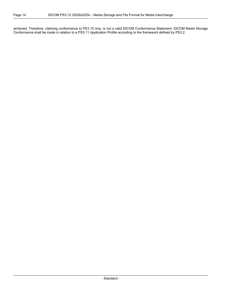achieved. Therefore, claiming conformance to PS3.10 only, is not a valid DICOM Conformance Statement. DICOM Media Storage Conformance shall be made in relation to a [PS3.11](part11.pdf#PS3.11) Application Profile according to the framework defined by [PS3.2.](part02.pdf#PS3.2)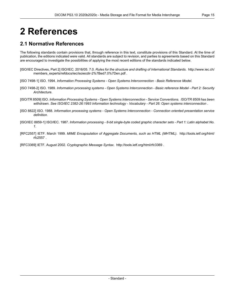# <span id="page-14-0"></span>**2 References**

## <span id="page-14-1"></span>**2.1 Normative References**

The following standards contain provisions that, through reference in this text, constitute provisions of this Standard. At the time of publication, the editions indicated were valid. All standards are subject to revision, and parties to agreements based on this Standard are encouraged to investigate the possibilities of applying the most recent editions of the standards indicated below.

- <span id="page-14-3"></span><span id="page-14-2"></span>[ISO/IEC Directives, Part 2] ISO/IEC. 2016/05. 7.0. *Rules for the structure and drafting of International Standards*. [http://www.iec.ch/](http://www.iec.ch/members_experts/refdocs/iec/isoiecdir-2%7Bed7.0%7Den.pdf) [members\\_experts/refdocs/iec/isoiecdir-2%7Bed7.0%7Den.pdf](http://www.iec.ch/members_experts/refdocs/iec/isoiecdir-2%7Bed7.0%7Den.pdf) .
- <span id="page-14-4"></span>[ISO 7498-1] ISO. 1994. *Information Processing Systems - Open Systems Interconnection - Basic Reference Model*.
- <span id="page-14-5"></span>[ISO 7498-2] ISO. 1989. Information processing systems - Open Systems Interconnection - Basic reference Model - Part 2: Security *Architecture*.
- <span id="page-14-6"></span>[ISO/TR 8509] ISO. *Information Processing Systems - Open Systems Interconnection - Service Conventions*. *ISO/TR 8509 has been withdrawn. See ISO/IEC 2382-26:1993 Information technology - Vocabulary - Part 26: Open systems interconnection* .
- [ISO 8822] ISO. 1988. *Information processing systems - Open Systems Interconnection - Connection oriented presentation service definition*.
- [ISO/IEC 8859-1] ISO/IEC. 1987. Information processing 8-bit single-byte coded graphic character sets Part 1: Latin alphabet No. *1*.
- [RFC2557] IETF. March 1999. *MIME Encapsulation of Aggregate Documents, such as HTML (MHTML)*. [http://tools.ietf.org/html/](http://tools.ietf.org/html/rfc2557) [rfc2557](http://tools.ietf.org/html/rfc2557) .

[RFC3369] IETF. August 2002. *Cryptographic Message Syntax*. <http://tools.ietf.org/html/rfc3369> .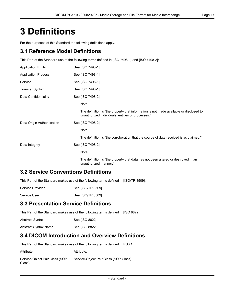# <span id="page-16-0"></span>**3 Definitions**

For the purposes of this Standard the following definitions apply.

## **3.1 Reference Model Definitions**

This Part of the Standard use of the following terms defined in [ISO [7498-1\]](#page-14-3) and [ISO [7498-2\]](#page-14-4):

| <b>Application Entity</b>  | See [ISO 7498-1].                                                                                                                           |
|----------------------------|---------------------------------------------------------------------------------------------------------------------------------------------|
| <b>Application Process</b> | See [ISO 7498-1].                                                                                                                           |
| Service                    | See [ISO 7498-1].                                                                                                                           |
| Transfer Syntax            | See [ISO 7498-1].                                                                                                                           |
| Data Confidentiality       | See [ISO 7498-2].                                                                                                                           |
|                            | Note                                                                                                                                        |
|                            | The definition is "the property that information is not made available or disclosed to<br>unauthorized individuals, entities or processes." |
| Data Origin Authentication | See [ISO 7498-2].                                                                                                                           |
|                            | Note                                                                                                                                        |
|                            | The definition is "the corroboration that the source of data received is as claimed."                                                       |
| Data Integrity             | See [ISO 7498-2].                                                                                                                           |
|                            | Note                                                                                                                                        |
|                            | The definition is "the property that data has not been altered or destroyed in an<br>unauthorized manner."                                  |

## **3.2 Service Conventions Definitions**

This Part of the Standard makes use of the following terms defined in [\[ISO/TR](#page-14-5) 8509]:

| See [ISO/TR 8509].<br>Service Provider |
|----------------------------------------|
|----------------------------------------|

Service User See [\[ISO/TR](#page-14-5) 8509].

## **3.3 Presentation Service Definitions**

This Part of the Standard makes use of the following terms defined in [ISO [8822\]](#page-14-6):

| <b>Abstract Syntax</b> | See [ISO 8822]. |
|------------------------|-----------------|
| Abstract Syntax Name   | See [ISO 8822]. |

## **3.4 DICOM Introduction and Overview Definitions**

This Part of the Standard makes use of the following terms defined in [PS3.1:](part01.pdf#PS3.1)

| Attribute                                | Attribute.                             |
|------------------------------------------|----------------------------------------|
| Service-Object Pair Class (SOP<br>Class) | Service-Object Pair Class (SOP Class). |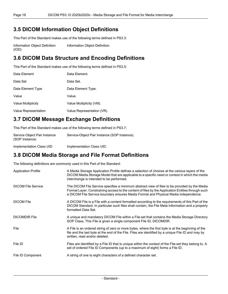### **3.5 DICOM Information Object Definitions**

This Part of the Standard makes use of the following terms defined in [PS3.3:](part03.pdf#PS3.3)

Information Object Definition (IOD) [Information](part03.pdf#glossentry_InformationObjectDefinition) Object Definition.

## **3.6 DICOM Data Structure and Encoding Definitions**

This Part of the Standard makes use of the following terms defined in [PS3.5:](part05.pdf#PS3.5)

| Data Element         | Data Element.              |
|----------------------|----------------------------|
| Data Set             | Data Set.                  |
| Data Element Type    | Data Element Type.         |
| Value                | Value.                     |
| Value Multiplicity   | Value Multiplicity (VM).   |
| Value Representation | Value Representation (VR). |

## **3.7 DICOM Message Exchange Definitions**

This Part of the Standard makes use of the following terms defined in [PS3.7:](part07.pdf#PS3.7)

| Service Object Pair Instance<br>(SOP Instance) | Service-Object Pair Instance (SOP Instance). |
|------------------------------------------------|----------------------------------------------|
| Implementation Class UID                       | Implementation Class UID.                    |

## **3.8 DICOM Media Storage and File Format Definitions**

The following definitions are commonly used in this Part of the Standard:

| <b>Application Profile</b> | A Media Storage Application Profile defines a selection of choices at the various layers of the<br>DICOM Media Storage Model that are applicable to a specific need or context in which the media<br>interchange is intended to be performed.                                              |
|----------------------------|--------------------------------------------------------------------------------------------------------------------------------------------------------------------------------------------------------------------------------------------------------------------------------------------|
| <b>DICOM File Service</b>  | The DICOM File Service specifies a minimum abstract view of files to be provided by the Media<br>Format Layer. Constraining access to the content of files by the Application Entities through such<br>a DICOM File Service boundary ensures Media Format and Physical Media independence. |
| <b>DICOM File</b>          | A DICOM File is a File with a content formatted according to the requirements of this Part of the<br>DICOM Standard. In particular such files shall contain, the File Meta Information and a properly<br>formatted Data Set.                                                               |
| <b>DICOMDIR File</b>       | A unique and mandatory DICOM File within a File-set that contains the Media Storage Directory<br>SOP Class. This File is given a single component File ID, DICOMDIR.                                                                                                                       |
| File                       | A File is an ordered string of zero or more bytes, where the first byte is at the beginning of the<br>file and the last byte at the end of the File. Files are identified by a unique File ID and may by<br>written, read and/or deleted.                                                  |
| File ID                    | Files are identified by a File ID that is unique within the context of the File-set they belong to. A<br>set of ordered File ID Components (up to a maximum of eight) forms a File ID.                                                                                                     |
| File ID Component          | A string of one to eight characters of a defined character set.                                                                                                                                                                                                                            |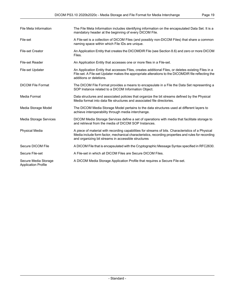| File Meta Information                              | The File Meta Information includes identifying information on the encapsulated Data Set. It is a<br>mandatory header at the beginning of every DICOM File.                                                                                                       |
|----------------------------------------------------|------------------------------------------------------------------------------------------------------------------------------------------------------------------------------------------------------------------------------------------------------------------|
| File-set                                           | A File-set is a collection of DICOM Files (and possibly non-DICOM Files) that share a common<br>naming space within which File IDs are unique.                                                                                                                   |
| <b>File-set Creator</b>                            | An Application Entity that creates the DICOMDIR File (see Section 8.6) and zero or more DICOM<br>Files.                                                                                                                                                          |
| File-set Reader                                    | An Application Entity that accesses one or more files in a File-set.                                                                                                                                                                                             |
| <b>File-set Updater</b>                            | An Application Entity that accesses Files, creates additional Files, or deletes existing Files in a<br>File-set. A File-set Updater makes the appropriate alterations to the DICOMDIR file reflecting the<br>additions or deletions.                             |
| <b>DICOM File Format</b>                           | The DICOM File Format provides a means to encapsulate in a File the Data Set representing a<br>SOP Instance related to a DICOM Information Object.                                                                                                               |
| Media Format                                       | Data structures and associated policies that organize the bit streams defined by the Physical<br>Media format into data file structures and associated file directories.                                                                                         |
| Media Storage Model                                | The DICOM Media Storage Model pertains to the data structures used at different layers to<br>achieve interoperability through media interchange.                                                                                                                 |
| Media Storage Services                             | DICOM Media Storage Services define a set of operations with media that facilitate storage to<br>and retrieval from the media of DICOM SOP Instances.                                                                                                            |
| <b>Physical Media</b>                              | A piece of material with recording capabilities for streams of bits. Characteristics of a Physical<br>Media include form factor, mechanical characteristics, recording properties and rules for recording<br>and organizing bit streams in accessible structures |
| Secure DICOM File                                  | A DICOM File that is encapsulated with the Cryptographic Message Syntax specified in RFC2630.                                                                                                                                                                    |
| Secure File-set                                    | A File-set in which all DICOM Files are Secure DICOM Files.                                                                                                                                                                                                      |
| Secure Media Storage<br><b>Application Profile</b> | A DICOM Media Storage Application Profile that requires a Secure File-set.                                                                                                                                                                                       |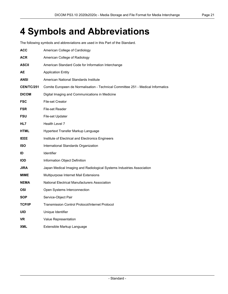# <span id="page-20-0"></span>**4 Symbols and Abbreviations**

The following symbols and abbreviations are used in this Part of the Standard.

| <b>ACC</b>        | American College of Cardiology                                                   |
|-------------------|----------------------------------------------------------------------------------|
| ACR               | American College of Radiology                                                    |
| ASCII             | American Standard Code for Information Interchange                               |
| AЕ                | <b>Application Entity</b>                                                        |
| <b>ANSI</b>       | American National Standards Institute                                            |
| <b>CEN/TC/251</b> | Comite Europeen de Normalisation - Technical Committee 251 - Medical Informatics |
| <b>DICOM</b>      | Digital Imaging and Communications in Medicine                                   |
| <b>FSC</b>        | <b>File-set Creator</b>                                                          |
| <b>FSR</b>        | File-set Reader                                                                  |
| <b>FSU</b>        | File-set Updater                                                                 |
| HL7               | Health Level 7                                                                   |
| HTML              | Hypertext Transfer Markup Language                                               |
| <b>IEEE</b>       | Institute of Electrical and Electronics Engineers                                |
| <b>ISO</b>        | International Standards Organization                                             |
| ID                | Identifier                                                                       |
| <b>IOD</b>        | Information Object Definition                                                    |
| <b>JIRA</b>       | Japan Medical Imaging and Radiological Systems Industries Association            |
| <b>MIME</b>       | Multipurpose Internet Mail Extensions                                            |
| <b>NEMA</b>       | National Electrical Manufacturers Association                                    |
| OSI               | Open Systems Interconnection                                                     |
| <b>SOP</b>        | Service-Object Pair                                                              |
| <b>TCP/IP</b>     | <b>Transmission Control Protocol/Internet Protocol</b>                           |
| <b>UID</b>        | Unique Identifier                                                                |
| <b>VR</b>         | Value Representation                                                             |
| <b>XML</b>        | Extensible Markup Language                                                       |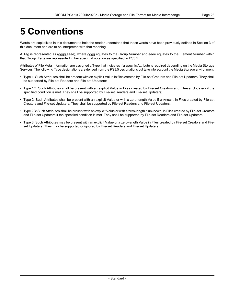# <span id="page-22-0"></span>**5 Conventions**

Words are capitalized in this document to help the reader understand that these words have been previously defined in Section 3 of this document and are to be interpreted with that meaning.

A Tag is represented as (gggg,eeee), where gggg equates to the Group Number and eeee equates to the Element Number within that Group. Tags are represented in hexadecimal notation as specified in [PS3.5.](part05.pdf#PS3.5)

Attributes of File Meta Information are assigned a Type that indicates if a specific Attribute is required depending on the Media Storage Services. The following Type designations are derived from the [PS3.5](part05.pdf#PS3.5) designations but take into account the Media Storage environment:

- Type 1: Such Attributes shall be present with an explicit Value in files created by File-set Creators and File-set Updaters. They shall be supported by File-set Readers and File-set Updaters;
- Type 1C: Such Attributes shall be present with an explicit Value in Files created by File-set Creators and File-set Updaters if the specified condition is met. They shall be supported by File-set Readers and File-set Updaters;
- Type 2: Such Attributes shall be present with an explicit Value or with a zero-length Value if unknown, in Files created by File-set Creators and File-set Updaters. They shall be supported by File-set Readers and File-set Updaters;
- Type 2C: Such Attributes shall be present with an explicit Value or with a zero-length if unknown, in Files created by File-set Creators and File-set Updaters if the specified condition is met. They shall be supported by File-set Readers and File-set Updaters;
- Type 3: Such Attributes may be present with an explicit Value or a zero-length Value in Files created by File-set Creators and File set Updaters. They may be supported or ignored by File-set Readers and File-set Updaters.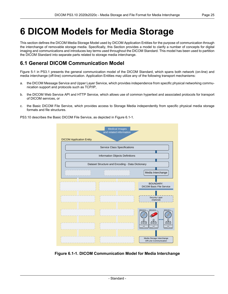## <span id="page-24-0"></span>**6 DICOM Models for Media Storage**

This section defines the DICOM Media Storage Model used by DICOM Application Entities for the purpose of communication through the interchange of removable storage media. Specifically, this Section provides a model to clarify a number of concepts for digital imaging and communications and introduces key terms used throughout the DICOM Standard. This model has been used to partition the DICOM Standard into separate parts related to storage media interchange.

## <span id="page-24-1"></span>**6.1 General DICOM Communication Model**

[Figure](part01.pdf#figure_5-1) 5-1 in PS3.1 presents the general communication model of the DICOM Standard, which spans both network (on-line) and media interchange (off-line) communication. Application Entities may utilize any of the following transport mechanisms:

- a. the DICOM Message Service and Upper Layer Service, which provides independence from specific physical networking commu nication support and protocols such as TCP/IP,
- b. the DICOM Web Service API and HTTP Service, which allows use of common hypertext and associated protocols for transport of DICOM services, or
- c. the Basic DICOM File Service, which provides access to Storage Media independently from specific physical media storage formats and file structures.

<span id="page-24-2"></span>PS3.10 describes the Basic DICOM File Service, as depicted in [Figure](#page-24-2) 6.1-1.



**Figure 6.1-1. DICOM Communication Model for Media Interchange**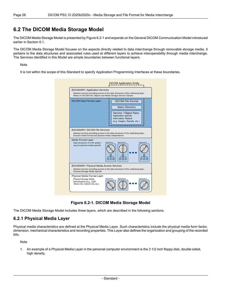### <span id="page-25-0"></span>**6.2 The DICOM Media Storage Model**

The DICOM Media Storage Model is presented by [Figure](#page-25-2) 6.2-1 and expands on the General DICOM Communication Model introduced earlier in [Section](#page-24-1) 6.1.

The DICOM Media Storage Model focuses on the aspects directly related to data interchange through removable storage media. It pertains to the data structures and associated rules used at different layers to achieve interoperability through media interchange. The Services identified in this Model are simple boundaries between functional layers.

#### Note

<span id="page-25-2"></span>It is not within the scope of this Standard to specify Application Programming Interfaces at these boundaries.

| <b>BOUNDARY: Application Services</b><br>Relies on DICOM info; Objects and Media Storage Service Classes                                                                           | Abstract services providing access to the data structures of the underlying layer;                                                                                  |  |  |
|------------------------------------------------------------------------------------------------------------------------------------------------------------------------------------|---------------------------------------------------------------------------------------------------------------------------------------------------------------------|--|--|
| <b>DICOM Data Format Layer</b>                                                                                                                                                     | <b>DICOM File Format</b><br><b>Basic Directory</b><br>Service / Object Pairs;<br>Application-specific<br><b>Information Objects</b><br>(e.g. Images, Results, etc.) |  |  |
| <b>BOUNDARY: DICOM File Services</b><br>Abstract services providing access to the data structures of the underlying layer;<br>Ensures media format and physical media independence |                                                                                                                                                                     |  |  |
|                                                                                                                                                                                    |                                                                                                                                                                     |  |  |
| Media Format Layer<br>Data structures of a file system,<br>may be physical media-specific                                                                                          | <b>MEDIUM A</b><br><b>MEDIUM B</b><br><b>MEDIUM N</b>                                                                                                               |  |  |
| <b>BOUNDARY: Physical Media Access Services</b><br>Physical Storage Media Specific                                                                                                 | Abstract services providing access to the data structures of the underlying layer;                                                                                  |  |  |



<span id="page-25-1"></span>The DICOM Media Storage Model includes three layers, which are described in the following sections.

#### **6.2.1 Physical Media Layer**

Physical media characteristics are defined at the Physical Media Layer. Such characteristics include the physical media form factor, dimension, mechanical characteristics and recording properties. This Layer also defines the organization and grouping of the recorded bits.

Note

1. An example of a Physical Media Layer in the personal computer environment is the 3 1/2 inch floppy disk, double sided, high density.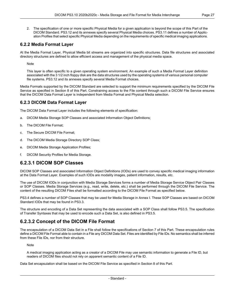2. The specification of one or more specific Physical Media for a given application is beyond the scope of this Part of the DICOM Standard. [PS3.12](part12.pdf#PS3.12) and its annexes specify several Physical Media choices. [PS3.11](part11.pdf#PS3.11) defines a number of Applic ation Profiles that select specific Physical Media depending on the requirements of specific medical imaging applications.

#### <span id="page-26-0"></span>**6.2.2 Media Format Layer**

At the Media Format Layer, Physical Media bit streams are organized into specific structures. Data file structures and associated directory structures are defined to allow efficient access and management of the physical media space.

Note

This layer is often specific to a given operating system environment. An example of such a Media Format Layer definition associated with the 3 1/2 inch floppy disk are the data structures used by the operating systems of various personal computer file systems. [PS3.12](part12.pdf#PS3.12) and its annexes specify several Media Format choices.

<span id="page-26-1"></span>Media Formats supported by the DICOM Standard are selected to support the minimum requirements specified by the DICOM File Service as specified in Section 8 of this Part. Constraining access to the File content through such a DICOM File Service ensures that the DICOM Data Format Layer is independent from Media Format and Physical Media selection.

#### **6.2.3 DICOM Data Format Layer**

The DICOM Data Format Layer includes the following elements of specification:

- a. DICOM Media Storage SOP Classes and associated Information Object Definitions;
- b. The DICOM File Format;
- c. The Secure DICOM File Format;
- d. The DICOM Media Storage Directory SOP Class;
- <span id="page-26-2"></span>e. DICOM Media Storage Application Profiles;
- f. DICOM Security Profiles for Media Storage.

#### **6.2.3.1 DICOM SOP Classes**

DICOM SOP Classes and associated Information Object Definitions (IODs) are used to convey specific medical imaging information at the Data Format Layer. Examples of such IODs are modality images, patient information, results, etc.

The use of DICOM IODs in conjunction with Media Storage Services forms a number of Media Storage Service Object Pair Classes or SOP Classes. Media Storage Services (e.g., read, write, delete, etc.) shall be performed through the DICOM File Service. The content of the resulting DICOM Files shall be formatted according to the DICOM File Format as specified below.

<span id="page-26-3"></span>[PS3.4](part04.pdf#PS3.4) defines a number of SOP Classes that may be used for Media Storage in [Annex](part04.pdf#chapter_I) I. These SOP Classes are based on DICOM Standard IODs that may be found in [PS3.3](part03.pdf#PS3.3).

The structure and encoding of a Data Set representing the data associated with a SOP Class shall follow [PS3.5.](part05.pdf#PS3.5) The specification of Transfer Syntaxes that may be used to encode such a Data Set, is also defined in [PS3.5.](part05.pdf#PS3.5)

#### **6.2.3.2 Concept of the DICOM File Format**

The encapsulation of a DICOM Data Set in a File shall follow the specifications of Section 7 of this Part. These encapsulation rules define a DICOM File Format able to contain in a File any DICOM Data Set. Files are identified by File IDs. No semantics shall be inferred from these File IDs, nor from their structure.

Note

A medical imaging application acting as a creator of a DICOM File may use semantic information to generate a File ID, but readers of DICOM files should not rely on apparent semantic content of a File ID.

Data Set encapsulation shall be based on the DICOM File Service as specified in Section 8 of this Part.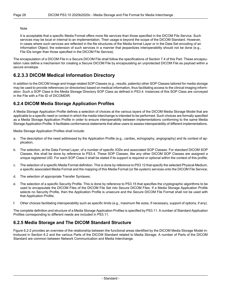#### **Note**

It is acceptable that a specific Media Format offers more file services than those specified in the DICOM File Service. Such services may be local or internal to an implementation. Their usage is beyond the scope of the DICOM Standard. However, in cases where such services are reflected in the file structures of the Media format Layer or in the Data Set encoding of an Information Object, the extension of such services in a manner that jeopardizes interoperability should not be done (e.g., File IDs longer than those specified in the DICOM File Service).

<span id="page-27-0"></span>The encapsulation of a DICOM File in a Secure DICOM File shall follow the specifications of [Section](#page-34-0) 7.4 of this Part. These encapsu lation rules define a mechanism for creating a Secure DICOM File by encapsulating an unprotected DICOM File as payload within a secure envelope.

### **6.2.3.3 DICOM Medical Information Directory**

<span id="page-27-1"></span>In addition to the DICOM Image and Image related SOP Classes (e.g., results, patients) other SOP Classes tailored for media storage may be used to provide references (or directories) based on medical information, thus facilitating access to the clinical imaging inform ation. Such a SOP Class is the Media Storage Directory SOP Class as defined in [PS3.4](part04.pdf#PS3.4). Instances of this SOP Class are conveyed in the File with a File ID of DICOMDIR.

#### **6.2.4 DICOM Media Storage Application Profiles**

A Media Storage Application Profile defines a selection of choices at the various layers of the DICOM Media Storage Model that are applicable to a specific need or context in which the media interchange is intended to be performed. Such choices are formally specified as a Media Storage Application Profile in order to ensure interoperability between implementations conforming to the same Media Storage Application Profile. It facilitates conformance statements that allow users to assess interoperability of different implementations.

Media Storage Application Profiles shall include:

- a. The description of the need addressed by the Application Profile (e.g., cardiac, echography, angiography) and its context of ap plication;
- b. The selection, at the Data Format Layer, of a number of specific IODs and associated SOP Classes. For standard DICOM SOP Classes, this shall be done by reference to [PS3.4.](part04.pdf#PS3.4) These SOP Classes, like any other DICOM SOP Classes are assigned a unique registered UID. For each SOP Class it shall be stated if its support is required or optional within the context of this profile;
- c. The selection of a specific Media Format definition. This is done by reference to [PS3.12](part12.pdf#PS3.12) that specify the selected Physical Medium, a specific associated Media Format and the mapping of this Media Format (or file system) services onto the DICOM File Service;
- d. The selection of appropriate Transfer Syntaxes;
- e. The selection of a specific Security Profile. This is done by reference to [PS3.15](part15.pdf#PS3.15) that specifies the cryptographic algorithms to be used to encapsulate the DICOM Files of the DICOM File Set into Secure DICOM Files. If a Media Storage Application Profile selects no Security Profile, then the Application Profile is unsecure and the Secure DICOM File Format shall not be used with that Application Profile;
- <span id="page-27-2"></span>f. Other choices facilitating interoperability such as specific limits (e.g., maximum file sizes, if necessary, support of options, if any).

The complete definition and structure of a Media Storage Application Profiles is specified by [PS3.11](part11.pdf#PS3.11). A number of Standard Application Profiles corresponding to different needs are included in [PS3.11](part11.pdf#PS3.11).

#### **6.2.5 Media Storage and The DICOM Standard Structure**

[Figure](#page-28-0) 6.2-2 provides an overview of the relationship between the functional areas identified by the DICOM Media Storage Model in troduced in [Section](#page-25-0) 6.2 and the various Parts of the DICOM Standard related to Media Storage. A number of Parts of the DICOM Standard are common between Network Communication and Media Interchange.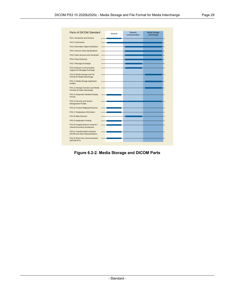<span id="page-28-0"></span>

| Parts of DICOM Standard                                                  | General | <b>Network</b><br>Communication | Media Storage<br>Interchange |
|--------------------------------------------------------------------------|---------|---------------------------------|------------------------------|
| PS3.1 Introduction and Overview                                          |         |                                 |                              |
| PS3.2 Conformance                                                        |         |                                 |                              |
| PS3.3 Information Object Definitions                                     |         |                                 |                              |
| PS3.4 Service Class Specifications                                       |         |                                 |                              |
| PS3.5 Data Structure and Semantics                                       |         |                                 |                              |
| PS3.6 Data Dictionary                                                    |         |                                 |                              |
| PS3.7 Message Exchange                                                   |         |                                 |                              |
| PS3.8 Network Communication<br>Support for Message Exchange              |         |                                 |                              |
| PS3.10 Media Storage and File<br>Format for Media Interchange            |         |                                 |                              |
| PS3.11 Media Storage Application<br><b>Profiles</b>                      |         |                                 |                              |
| PS3.12 Storage Functions and Media -<br>Formats for Data Interchange     |         |                                 |                              |
| PS3.14 Grayscale Standard Display<br>Format                              |         |                                 |                              |
| PS3.15 Security and System<br><b>Management Profiles</b>                 |         |                                 |                              |
| PS3.16 Content Mapping Resource                                          |         |                                 |                              |
| PS3.17 Explanatory Information                                           |         |                                 |                              |
| PS3.18 Web Services                                                      |         |                                 |                              |
| PS3.19 Application Hosting                                               |         |                                 |                              |
| PS3.20 Imaging Reports using HL7<br>Clinical Document Architecture       |         |                                 |                              |
| PS3.21 Transformations between<br><b>DICOM</b> and other Representations |         |                                 |                              |
| PS3.22 Real-Time Communications<br>(DICOM RTV)                           |         |                                 |                              |

**Figure 6.2-2. Media Storage and DICOM Parts**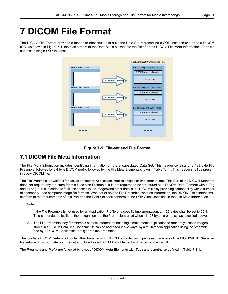## <span id="page-30-0"></span>**7 DICOM File Format**

<span id="page-30-2"></span>The DICOM File Format provides a means to encapsulate in a file the Data Set representing a SOP Instance related to a DICOM IOD. As shown in [Figure](#page-30-2) 7-1, the byte stream of the Data Set is placed into the file after the DICOM File Meta Information. Each file contains a single SOP Instance.





## <span id="page-30-1"></span>**7.1 DICOM File Meta Information**

The File Meta Information includes identifying information on the encapsulated Data Set. This header consists of a 128 byte File Preamble, followed by a 4 byte DICOM prefix, followed by the File Meta Elements shown in [Table](#page-31-0) 7.1-1. This header shall be present in every DICOM file.

The File Preamble is available for use as defined by Application Profiles or specific implementations. This Part of the DICOM Standard does not require any structure for this fixed size Preamble. It is not required to be structured as a DICOM Data Element with a Tag and a Length. It is intended to facilitate access to the images and other data in the DICOM file by providing compatibility with a number of commonly used computer image file formats. Whether or not the File Preamble contains information, the DICOM File content shall conform to the requirements of this Part and the Data Set shall conform to the SOP Class specified in the File Meta Information.

#### **Note**

- 1. If the File Preamble is not used by an Application Profile or a specific implementation, all 128 bytes shall be set to 00H. This is intended to facilitate the recognition that the Preamble is used when all 128 bytes are not set as specified above.
- 2. The File Preamble may for example contain information enabling a multi-media application to randomly access images stored in a DICOM Data Set. The same file can be accessed in two ways: by a multi-media application using the preamble and by a DICOM Application that ignores the preamble.

The four byte DICOM Prefix shall contain the character string "DICM" encoded as uppercase characters of the ISO 8859 G0 Character Repertoire. This four byte prefix is not structured as a DICOM Data Element with a Tag and a Length.

The Preamble and Prefix are followed by a set of DICOM Meta Elements with Tags and Lengths as defined in [Table](#page-31-0) 7.1-1.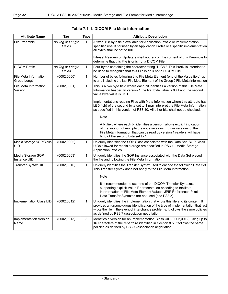<span id="page-31-0"></span>

| <b>Attribute Name</b>                 | Tag                        | <b>Type</b>  | <b>Attribute Description</b>                                                                                                                                                                                                                                                                             |
|---------------------------------------|----------------------------|--------------|----------------------------------------------------------------------------------------------------------------------------------------------------------------------------------------------------------------------------------------------------------------------------------------------------------|
| <b>File Preamble</b>                  | No Tag or Length<br>Fields | 1            | A fixed 128 byte field available for Application Profile or implementation<br>specified use. If not used by an Application Profile or a specific implementation<br>all bytes shall be set to 00H.                                                                                                        |
|                                       |                            |              | File-set Readers or Updaters shall not rely on the content of this Preamble to<br>determine that this File is or is not a DICOM File.                                                                                                                                                                    |
| <b>DICOM Prefix</b>                   | No Tag or Length<br>Fields | 1            | Four bytes containing the character string "DICM". This Prefix is intended to<br>be used to recognize that this File is or is not a DICOM File.                                                                                                                                                          |
| File Meta Information<br>Group Length | (0002, 0000)               | $\mathbf{1}$ | Number of bytes following this File Meta Element (end of the Value field) up<br>to and including the last File Meta Element of the Group 2 File Meta Information                                                                                                                                         |
| File Meta Information<br>Version      | (0002,0001)                | 1            | This is a two byte field where each bit identifies a version of this File Meta<br>Information header. In version 1 the first byte value is 00H and the second<br>value byte value is 01H.                                                                                                                |
|                                       |                            |              | Implementations reading Files with Meta Information where this attribute has<br>bit 0 (Isb) of the second byte set to 1 may interpret the File Meta Information<br>as specified in this version of PS3.10. All other bits shall not be checked.                                                          |
|                                       |                            |              | Note                                                                                                                                                                                                                                                                                                     |
|                                       |                            |              | A bit field where each bit identifies a version, allows explicit indication<br>of the support of multiple previous versions. Future versions of the<br>File Meta Information that can be read by version 1 readers will have<br>bit 0 of the second byte set to 1                                        |
| Media Storage SOP Class<br>UID        | (0002, 0002)               | 1            | Uniquely identifies the SOP Class associated with the Data Set. SOP Class<br>UIDs allowed for media storage are specified in PS3.4 - Media Storage<br>Application Profiles.                                                                                                                              |
| Media Storage SOP<br>Instance UID     | (0002, 0003)               | 1            | Uniquely identifies the SOP Instance associated with the Data Set placed in<br>the file and following the File Meta Information.                                                                                                                                                                         |
| Transfer Syntax UID                   | (0002, 0010)               | $\mathbf{1}$ | Uniquely identifies the Transfer Syntax used to encode the following Data Set.<br>This Transfer Syntax does not apply to the File Meta Information.                                                                                                                                                      |
|                                       |                            |              | Note                                                                                                                                                                                                                                                                                                     |
|                                       |                            |              | It is recommended to use one of the DICOM Transfer Syntaxes<br>supporting explicit Value Representation encoding to facilitate<br>interpretation of File Meta Element Values. JPIP Referenced Pixel<br>Data Transfer Syntaxes are not used (see PS3.5).                                                  |
| Implementation Class UID              | (0002, 0012)               | 1            | Uniquely identifies the implementation that wrote this file and its content. It<br>provides an unambiguous identification of the type of implementation that last<br>wrote the file in the event of interchange problems. It follows the same policies<br>as defined by PS3.7 (association negotiation). |
| Implementation Version<br>Name        | (0002, 0013)               | 3            | Identifies a version for an Implementation Class UID (0002,0012) using up to<br>16 characters of the repertoire identified in Section 8.5. It follows the same<br>policies as defined by PS3.7 (association negotiation).                                                                                |

| Table 7.1-1. DICOM File Meta Information |  |
|------------------------------------------|--|
|------------------------------------------|--|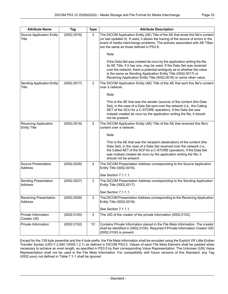| <b>Attribute Name</b>                        | Tag          | <b>Type</b> | <b>Attribute Description</b>                                                                                                                                                                                                                                                                                                                                          |
|----------------------------------------------|--------------|-------------|-----------------------------------------------------------------------------------------------------------------------------------------------------------------------------------------------------------------------------------------------------------------------------------------------------------------------------------------------------------------------|
| Source Application Entity<br>Title           | (0002, 0016) | 3           | The DICOM Application Entity (AE) Title of the AE that wrote this file's content<br>(or last updated it). If used, it allows the tracing of the source of errors in the<br>event of media interchange problems. The policies associated with AE Titles<br>are the same as those defined in PS3.8.                                                                     |
|                                              |              |             | Note                                                                                                                                                                                                                                                                                                                                                                  |
|                                              |              |             | If the Data Set was created de novo by the application writing the file,<br>its AE Title, if it has one, may be used. If the Data Set was received<br>over the network, there is potential ambiguity as to whether the value<br>is the same as Sending Application Entity Title (0002,0017) or<br>Receiving Application Entity Title (0002,0018) or some other value. |
| <b>Sending Application Entity</b><br>Title   | (0002, 0017) | 3           | The DICOM Application Entity (AE) Title of the AE that sent this file's content<br>over a network.                                                                                                                                                                                                                                                                    |
|                                              |              |             | Note                                                                                                                                                                                                                                                                                                                                                                  |
|                                              |              |             | This is the AE that was the sender (source) of the content (the Data<br>Set), in the case of a Data Set sent over the network (i.e., the Calling<br>AET of the SCU for a C-STORE operation). If the Data Set was<br>instead created de novo by the application writing the file, it should<br>not be present.                                                         |
| Receiving Application<br><b>Entity Title</b> | (0002, 0018) | 3           | The DICOM Application Entity (AE) Title of the AE that received this file's<br>content over a network.                                                                                                                                                                                                                                                                |
|                                              |              |             | Note                                                                                                                                                                                                                                                                                                                                                                  |
|                                              |              |             | This is the AE that was the recipient (destination) of the content (the<br>Data Set), in the case of a Data Set received over the network (i.e.,<br>the Called AET of the SCP for a C-STORE operation). If the Data Set<br>was instead created de novo by the application writing the file, it<br>should not be present.                                              |
| Source Presentation<br>Address               | (0002, 0026) | 3           | The DICOM Presentation Address corresponding to the Source Application<br>Entity Title (0002,0016).                                                                                                                                                                                                                                                                   |
|                                              |              |             | See Section 7.1.1.1.                                                                                                                                                                                                                                                                                                                                                  |
| Sending Presentation<br>Address              | (0002, 0027) | 3           | The DICOM Presentation Address corresponding to the Sending Application<br>Entity Title (0002,0017).                                                                                                                                                                                                                                                                  |
|                                              |              |             | See Section 7.1.1.1.                                                                                                                                                                                                                                                                                                                                                  |
| <b>Receiving Presentation</b><br>Address     | (0002, 0028) | 3           | The DICOM Presentation Address corresponding to the Receiving Application<br>Entity Title (0002,0018).                                                                                                                                                                                                                                                                |
| Private Information                          | (0002, 0100) | 3           | See Section 7.1.1.1.<br>The UID of the creator of the private information (0002,0102).                                                                                                                                                                                                                                                                                |
| Creator UID                                  |              |             |                                                                                                                                                                                                                                                                                                                                                                       |
| Private Information                          | (0002, 0102) | 1C          | Contains Private Information placed in the File Meta Information. The creator<br>shall be identified in (0002,0100). Required if Private Information Creator UID<br>(0002,0100) is present.                                                                                                                                                                           |

Except for the 128 byte preamble and the 4 byte prefix, the File Meta Information shall be encoded using the Explicit VR Little Endian Transfer Syntax (UID=1.2.840.10008.1.2.1) as defined in DICOM [PS3.5](part05.pdf#PS3.5). Values of each File Meta Element shall be padded when necessary to achieve an even length, as specified in [PS3.5](part05.pdf#PS3.5) by their corresponding Value Representation. The Unknown (UN) Value Representation shall not be used in the File Meta Information. For compatibility with future versions of this Standard, any Tag (0002,xxxx) not defined in [Table](#page-31-0) 7.1-1 shall be ignored.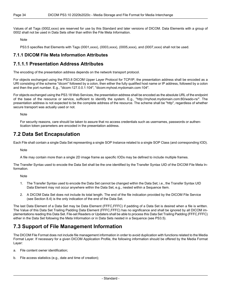Values of all Tags (0002,xxxx) are reserved for use by this Standard and later versions of DICOM. Data Elements with a group of 0002 shall not be used in Data Sets other than within the File Meta Information.

Note

<span id="page-33-0"></span>[PS3.5](part05.pdf#PS3.5) specifies that Elements with Tags (0001,xxxx), (0003,xxxx), (0005,xxxx), and (0007,xxxx) shall not be used.

#### <span id="page-33-1"></span>**7.1.1 DICOM File Meta Information Attributes**

#### **7.1.1.1 Presentation Address Attributes**

The encoding of the presentation address depends on the network transport protocol.

For objects exchanged using the [PS3.8](part08.pdf#PS3.8) DICOM Upper Layer Protocol for TCP/IP, the presentation address shall be encoded as a URI consisting of the scheme "dicom" followed by a colon, then either the fully qualified host name or IP address, followed by a colon and then the port number. E.g., "dicom:127.0.0.1:104", "dicom:myhost.mydomain.com:104".

For objects exchanged using the [PS3.18](part18.pdf#PS3.18) Web Services, the presentation address shall be encoded as the absolute URL of the endpoint of the base of the resource or service, sufficient to identify the system. E.g., "http://myhost.mydomain.com:80/wado-rs/". The presentation address is not expected to be the complete address of the resource. The scheme shall be "http", regardless of whether secure transport was actually used or not.

<span id="page-33-2"></span>Note

For security reasons, care should be taken to assure that no access credentials such as usernames, passwords or authen tication token parameters are encoded in the presentation address.

### **7.2 Data Set Encapsulation**

Each File shall contain a single Data Set representing a single SOP Instance related to a single SOP Class (and corresponding IOD).

Note

A file may contain more than a single 2D image frame as specific IODs may be defined to include multiple frames.

The Transfer Syntax used to encode the Data Set shall be the one identified by the Transfer Syntax UID of the DICOM File Meta In formation.

Note

- 1. The Transfer Syntax used to encode the Data Set cannot be changed within the Data Set; i.e., the Transfer Syntax UID Data Element may not occur anywhere within the Data Set, e.g., nested within a Sequence Item.
- 2. A DICOM Data Set does not include its total length. The end of the file indication provided by the DICOM File Service (see [Section](#page-39-0) 8.4) is the only indication of the end of the Data Set.

<span id="page-33-3"></span>The last Data Element of a Data Set may be Data Element (FFFC,FFFC) if padding of a Data Set is desired when a file is written. The Value of this Data Set Trailing Padding Data Element (FFFC,FFFC) has no significance and shall be ignored by all DICOM im plementations reading this Data Set. File-set Readers or Updaters shall be able to process this Data Set Trailing Padding (FFFC,FFFC) either in the Data Set following the Meta Information or in Data Sets nested in a Sequence (see [PS3.5](part05.pdf#PS3.5)).

## **7.3 Support of File Management Information**

The DICOM File Format does not include file management information in order to avoid duplication with functions related to the Media Format Layer. If necessary for a given DICOM Application Profile, the following information should be offered by the Media Format Layer:

- a. File content owner identification;
- b. File access statistics (e.g., date and time of creation);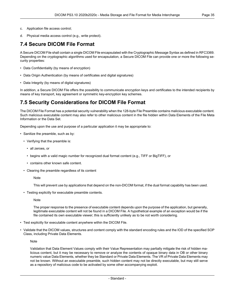<span id="page-34-0"></span>d. Physical media access control (e.g., write protect).

### **7.4 Secure DICOM File Format**

A Secure DICOM File shall contain a single DICOM File encapsulated with the Cryptographic Message Syntax as defined in RFC3369. Depending on the cryptographic algorithms used for encapsulation, a Secure DICOM File can provide one or more the following se curity properties:

- Data Confidentiality (by means of encryption)
- Data Origin Authentication (by means of certificates and digital signatures)
- Data Integrity (by means of digital signatures)

<span id="page-34-1"></span>In addition, a Secure DICOM File offers the possibility to communicate encryption keys and certificates to the intended recipients by means of key transport, key agreement or symmetric key-encryption key schemes.

### **7.5 Security Considerations for DICOM File Format**

The DICOM File Format has a potential security vulnerability when the 128-byte File Preamble contains malicious executable content. Such malicious executable content may also refer to other malicious content in the file hidden within Data Elements of the File Meta Information or the Data Set.

Depending upon the use and purpose of a particular application it may be appropriate to:

- Sanitize the preamble, such as by:
	- Verifying that the preamble is:
		- all zeroes, or
		- begins with a valid magic number for recognized dual format content (e.g., TIFF or BigTIFF), or
		- contains other known safe content.
	- Clearing the preamble regardless of its content

**Note** 

This will prevent use by applications that depend on the non-DICOM format, if the dual format capability has been used.

• Testing explicitly for executable preamble contents.

Note

The proper response to the presence of executable content depends upon the purpose of the application, but generally, legitimate executable content will not be found in a DICOM File. A hypothetical example of an exception would be if the file contained its own executable viewer; this is sufficiently unlikely as to be not worth considering.

- Test explicitly for executable content anywhere within the DICOM File.
- Validate that the DICOM values, structures and content comply with the standard encoding rules and the IOD of the specified SOP Class, including Private Data Elements.

**Note** 

Validation that Data Element Values comply with their Value Representation may partially mitigate the risk of hidden ma licious content, but it may be necessary to remove or analyze the contents of opaque binary data in OB or other binary numeric value Data Elements, whether they be Standard or Private Data Elements. The VR of Private Data Elements may not be known. Without an executable preamble, such hidden content may not be directly executable, but may still serve as a repository of malicious code to be activated by some other accompanying exploit.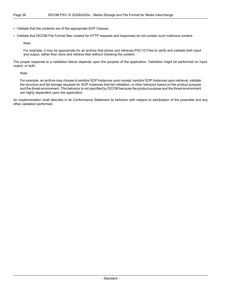• Validate that the contents are of the appropriate SOP Classes.

• Validate that DICOM File Format files created for HTTP requests and responses do not contain such malicious content.

Note

For example, it may be appropriate for an archive that stores and retrieves PS3.10 Files to verify and validate both input and output, rather than store and retrieve files without checking the content.

The proper response to a validation failure depends upon the purpose of the application. Validation might be performed on input, output, or both.

Note

For example, an archive may choose to sanitize SOP Instances upon receipt, sanitize SOP Instances upon retrieval, validate the structure and fail storage requests for SOP Instances that fail validation, or other behavior based on the product purpose and the threat environment. This behavior is not specified by DICOM because the product purpose and the threat environment are highly dependent upon the application.

An implementation shall describe in its Conformance Statement its behavior with respect to sanitization of the preamble and any other validation performed.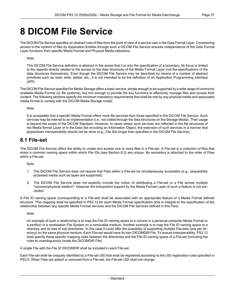## <span id="page-36-0"></span>**8 DICOM File Service**

The DICOM File Service specifies an abstract view of files from the point of view of a service user in the Data Format Layer. Constraining access to the content of files by Application Entities through such a DICOM File Service ensures independence of the Data Format Layer functions from specific Media Format and Physical Media selections.

#### Note

This DICOM File Service definition is abstract in the sense that it is only the specification of a boundary. Its focus is limited to the aspects directly related to the access to the data structures of the Media Format Layer (not the specifications of the data structures themselves). Even though the DICOM File Service may be described by means of a number of abstract primitives such as read, write, delete, etc., it is not intended to be the definition of an Application Programming Interface (API).

The DICOM File Service specified for Media Storage offers a basic service, simple enough to be supported by a wide range of commonly available Media Format (or file systems), but rich enough to provide the key functions to effectively manage files and access their content. The following sections specify the minimum mandatory requirements that shall be met by any physical media and associated media format to comply with the DICOM Media Storage model.

#### Note

<span id="page-36-1"></span>It is acceptable that a specific Media Format offers more file services than those specified in the DICOM File Service. Such services may be internal to an implementation (i.e., not visible through the data structures on the Storage Media). Their usage is beyond the scope of the DICOM Standard. However, in cases where such services are reflected in the file structures of the Media format Layer or in the Data Set encoding an Information Object, the extension of such services in a manner that jeopardizes interoperability should not be done (e.g., File IDs longer than specified in the DICOM File Service).

### **8.1 File-set**

The DICOM File Service offers the ability to create and access one or more files in a File-set. A File-set is a collection of files that share a common naming space within which File IDs (see [Section](#page-37-0) 8.2) are unique. No semantics is attached to the order of Files within a File-set.

Note

- 1. The DICOM File Service does not require that Files within a File-set be simultaneously accessible (e.g., sequentially accessed media such as tapes are supported).
- 2. The DICOM File Service does not explicitly include the notion of distributing a File-set or a File across multiple "volumes/physical medium". However the transparent support by the Media Format Layer of such a feature is not pre cluded.

A File ID naming space (corresponding to a File-set) shall be associated with an appropriate feature of a Media Format defined structure. This mapping shall be specified in [PS3.12](part12.pdf#PS3.12) for each Media Format specification (this is integral to the specification of the relationship between any specific Media Format services and the DICOM File Services defined in this Part).

Note

An example of such a relationship is to map the File ID naming space to a volume in a personal computer Media Format or a partition in a workstation File System on a removable medium. Another example is to map the File ID naming space to a directory and its tree of sub-directories. In this case it could offer the possibility of supporting multiple File-sets (one per dir ectory) on the same physical medium. Each File-set would have its own DICOMDIR File. To ensure interoperability, [PS3.12](part12.pdf#PS3.12) shall specify these specific mapping rules between the directories and the File ID naming space of a File-set (including the rules to unambiguously locate the DICOMDIR File).

A single File with the File ID DICOMDIR shall be included in each File-set.

Each File-set shall be uniquely identified by a File-set UID that shall be registered according to the UID registration rules specified in [PS3.5](part05.pdf#PS3.5). When Files are added or removed from a File-set, the File-set UID shall not change.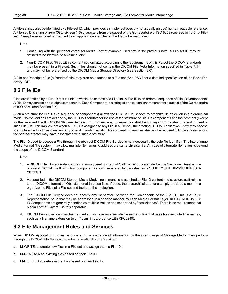A File-set may also be identified by a File-set ID, which provides a simple (but possibly not globally unique) human readable reference. A File-set ID is string of zero (0) to sixteen (16) characters from the subset of the G0 repertoire of ISO 8859 (see [Section](#page-39-1) 8.5). A File set ID may be associated or mapped to an appropriate identifier at the Media Format Layer.

Note

- 1. Continuing with the personal computer Media Format example used first in the previous note, a File-set ID may be defined to be identical to a volume label.
- 2. Non-DICOM Files (Files with a content not formatted according to the requirements of this Part of the DICOM Standard) may be present in a File-set. Such files should not contain the DICOM File Meta Information specified in [Table](#page-31-0) 7.1-1 and may not be referenced by the DICOM Media Storage Directory (see [Section](#page-39-2) 8.6).

<span id="page-37-0"></span>A File-set Descriptor File (a "readme" file) may also be attached to a File-set. See [PS3.3](part03.pdf#PS3.3) for a detailed specification of the Basic Dir ectory IOD.

### **8.2 File IDs**

Files are identified by a File ID that is unique within the context of a File-set. A File ID is an ordered sequence of File ID Components. A File ID may contain one to eight components. Each Component is a string of one to eight characters from a subset of the G0 repertoire of ISO 8859 (see [Section](#page-39-1) 8.5)

Such a structure for File IDs (a sequence of components) allows the DICOM File Service to organize file selection in a hierarchical mode. No conventions are defined by the DICOM Standard for the use of the structure of File IDs components and their content (except for the reserved File ID DICOMDIR, see [Section](#page-39-2) 8.6). Furthermore, no semantics shall be conveyed by the structure and content of such File IDs. This implies that when a File ID is assigned to any File in a File-set, the creating DICOM Application Entity may choose to structure the File ID as it wishes. Any other AE reading existing files or creating new files shall not be required to know any semantics the original creator may have associated with such a structure.

The File ID used to access a File through the abstract DICOM File Service is not necessarily the sole file identifier. The interchange Media Format (file system) may allow multiple file names to address the same physical file. Any use of alternate file names is beyond the scope of the DICOM Standard.

**Note** 

- 1. A DICOM File ID is equivalent to the commonly used concept of "path name" concatenated with a "file name". An example of a valid DICOM File ID with four components shown separated by backslashes is:SUBDIR1\SUBDIR2\SUBDIR3\AB- CDEFGH
- 2. As specified in the DICOM Storage Media Model, no semantics is attached to File ID content and structure as it relates to the DICOM Information Objects stored in these files. If used, the hierarchical structure simply provides a means to organize the Files of a File-set and facilitate their selection.
- <span id="page-37-1"></span>3. The DICOM File Service does not specify any "separator" between the Components of the File ID. This is a Value Representation issue that may be addressed in a specific manner by each Media Format Layer. In DICOM IODs, File ID Components are generally handled as multiple Values and separated by "backslashes". There is no requirement that Media Format Layers use this separator.
- 4. DICOM files stored on interchange media may have an alternate file name or link that uses less restricted file names, such as a filename extension (e.g., ".dcm" in accordance with RFC3240).

### **8.3 File Management Roles and Services**

When DICOM Application Entities participate in the exchange of information by the interchange of Storage Media, they perform through the DICOM File Service a number of Media Storage Services:

- a. M-WRITE, to create new files in a File-set and assign them a File ID;
- b. M-READ to read existing files based on their File ID;
- c. M-DELETE to delete existing files based on their File ID;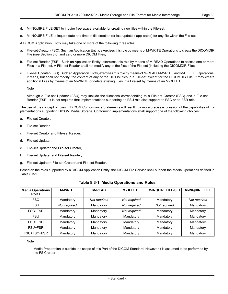- d. M-INQUIRE FILE-SET to inquire free space available for creating new files within the File-set;
- e. M-INQUIRE FILE to inquire date and time of file creation (or last update if applicable) for any file within the File-set.

A DICOM Application Entity may take one or more of the following three roles:

- a. File-set Creator (FSC). Such an Application Entity, exercises this role by means of M-WRITE Operations to create the DICOMDIR File (see [Section](#page-39-2) 8.6) and zero or more DICOM Files;
- b. File-set Reader (FSR). Such an Application Entity, exercises this role by means of M-READ Operations to access one or more Files in a File-set. A File-set Reader shall not modify any of the files of the File-set (including the DICOMDIR File);
- File-set Updater (FSU). Such an Application Entity, exercises this role by means of M-READ, M-WRITE, and M-DELETE Operations. It reads, but shall not modify, the content of any of the DICOM files in a File-set except for the DICOMDIR File. It may create additional Files by means of an M-WRITE or delete existing Files in a File-set by means of an M-DELETE.

Note

Although a File-set Updater (FSU) may include the functions corresponding to a File-set Creator (FSC) and a File-set Reader (FSR), it is not required that implementations supporting an FSU role also support an FSC or an FSR role.

The use of the concept of roles in DICOM Conformance Statements will result in a more precise expression of the capabilities of im plementations supporting DICOM Media Storage. Conforming implementations shall support one of the following choices:

- a. File-set Creator,
- b. File-set Reader,
- c. File-set Creator and File-set Reader,
- d. File-set Updater,
- e. File-set Updater and File-set Creator,
- f. File-set Updater and File-set Reader,
- <span id="page-38-0"></span>g. File-set Updater, File-set Creator and File-set Reader.

Based on the roles supported by a DICOM Application Entity, the DICOM File Service shall support the Media Operations defined in [Table](#page-38-0) 8.3-1.

| <b>Media Operations</b><br><b>Roles</b> | <b>M-WRITE</b> | <b>M-READ</b> | <b>M-DELETE</b> | <b>M-INQUIRE FILE-SET</b> | <b>M-INQUIRE FILE</b> |
|-----------------------------------------|----------------|---------------|-----------------|---------------------------|-----------------------|
| <b>FSC</b>                              | Mandatory      | Not required  | Not required    | Mandatory                 | Not required          |
| <b>FSR</b>                              | Not required   | Mandatory     | Not required    | Not required              | Mandatory             |
| FSC+FSR                                 | Mandatory      | Mandatory     | Not required    | Mandatory                 | Mandatory             |
| <b>FSU</b>                              | Mandatory      | Mandatory     | Mandatory       | Mandatory                 | Mandatory             |
| FSU+FSC                                 | Mandatory      | Mandatory     | Mandatory       | Mandatory                 | Mandatory             |
| FSU+FSR                                 | Mandatory      | Mandatory     | Mandatory       | Mandatory                 | Mandatory             |
| FSU+FSC+FSR                             | Mandatory      | Mandatory     | Mandatory       | Mandatory                 | Mandatory             |

#### **Table 8.3-1. Media Operations and Roles**

#### Note

1. Media Preparation is outside the scope of this Part of the DICOM Standard. However it is assumed to be performed by the FS Creator.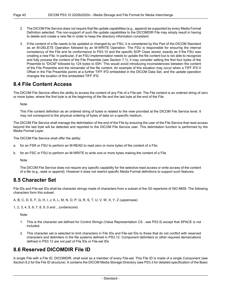- 2. The DICOM File Service does not require that file update capabilities (e.g., append) be supported by every Media Format Definition selected. The non-support of such file update capabilities to the DICOMDIR File may simply result in having to delete and create a new file in order to keep the directory information consistent.
- 3. If the content of a file needs to be updated or changed by an FSU, it is considered by this Part of the DICOM Standard as an M-DELETE Operation followed by an M-WRITE Operation. The FSU is responsible for ensuring the internal consistency of the File and its conformance to PS3.10 and the specific SOP Class stored, exactly as if the FSU was creating a new File. In particular, if an FSU implementation needs to update the file content but is not able to recognize and fully process the content of the File Preamble (see [Section](#page-30-1) 7.1), it may consider setting the first four bytes of the Preamble to "DICM" followed by 124 bytes to 00H. This would avoid introducing inconsistencies between the content of the File Preamble and the remainder of the file content. An example of this situation may occur when a TIFF IFD 0 Offset in the File Preamble points at a further TIFF IFD embedded in the DICOM Data Set, and the update operation changes the location of this embedded TIFF IFD.

### <span id="page-39-0"></span>**8.4 File Content Access**

The DICOM File Service offers the ability to access the content of any File of a File-set. The File content is an ordered string of zero or more bytes, where the first byte is at the beginning of the file and the last byte at the end of the File.

**Note** 

This File content definition as an ordered string of bytes is related to the view provided at the DICOM File Service level. It may not correspond to the physical ordering of bytes of data on a specific medium.

The DICOM File Service shall manage the delimitation of the end of the File by ensuring the user of the File Service that read access beyond the last byte will be detected and reported to the DICOM File Service user. This delimitation function is performed by the Media Format Layer.

The DICOM File Service shall offer the ability:

- a. for an FSR or FSU to perform an M-READ to read zero or more bytes of the content of a File;
- <span id="page-39-1"></span>b. for an FSC or FSU to perform an M-WRITE to write one or more bytes making the content of a File.

Note

The DICOM File Service does not require any specific capability for the selective read access or write access of the content of a file (e.g., seek or append). However it does not restrict specific Media Format definitions to support such features.

### **8.5 Character Set**

File IDs and File-set IDs shall be character strings made of characters from a subset of the G0 repertoire of ISO 8859. The following characters form this subset:

A, B, C, D, E, F, G, H, I, J, K, L, M, N, O, P, Q, R, S, T, U, V, W, X, Y, Z (uppercase)

1, 2, 3, 4, 5, 6, 7, 8, 9, 0 and \_ (underscore)

**Note** 

- <span id="page-39-2"></span>1. This is the character set defined for Control Strings (Value Representation CS - see [PS3.5\)](part05.pdf#PS3.5) except that SPACE is not included.
- 2. This character set is selected to limit characters in File IDs and File-set IDs to those that do not conflict with reserved characters and delimiters in the file systems defined in [PS3.12](part12.pdf#PS3.12). Component delimiters or other required demarcations defined in [PS3.12](part12.pdf#PS3.12) are not part of File IDs or File-set IDs

### **8.6 Reserved DICOMDIR File ID**

A single File with a File ID, DICOMDIR, shall exist as a member of every File-set. This File ID is made of a single Component (see [Section](#page-37-0) 8.2 for the File ID structure). It contains the DICOM Media Storage Directory (see [PS3.3](part03.pdf#PS3.3) for detailed specification of the Basic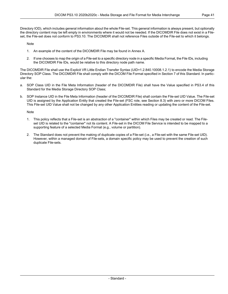Note

- 1. An example of the content of the DICOMDIR File may be found in [Annex](#page-44-0) A.
- 2. If one chooses to map the origin of a File-set to a specific directory node in a specific Media Format, the File IDs, including the DICOMDIR File IDs, would be relative to this directory node path name.

The DICOMDIR File shall use the Explicit VR Little Endian Transfer Syntax (UID=1.2.840.10008.1.2.1) to encode the Media Storage Directory SOP Class. The DICOMDIR File shall comply with the DICOM File Format specified in Section 7 of this Standard. In partic ular the:

- a. SOP Class UID in the File Meta Information (header of the DICOMDIR File) shall have the Value specified in [PS3.4](part04.pdf#PS3.4) of this Standard for the Media Storage Directory SOP Class;
- b. SOP Instance UID in the File Meta Information (header of the DICOMDIR File) shall contain the File-set UID Value. The File-set UID is assigned by the Application Entity that created the File-set (FSC role, see [Section](#page-37-1) 8.3) with zero or more DICOM Files. This File-set UID Value shall not be changed by any other Application Entities reading or updating the content of the File-set.

Note

- 1. This policy reflects that a File-set is an abstraction of a "container" within which Files may be created or read. The File set UID is related to the "container" not its content. A File-set in the DICOM File Service is intended to be mapped to a supporting feature of a selected Media Format (e.g., volume or partition).
- 2. The Standard does not prevent the making of duplicate copies of a File-set (i.e., a File-set with the same File-set UID). However, within a managed domain of File-sets, a domain specific policy may be used to prevent the creation of such duplicate File-sets.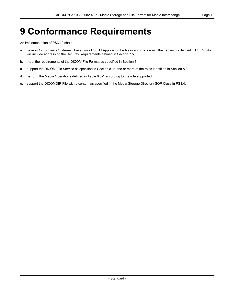# <span id="page-42-0"></span>**9 Conformance Requirements**

An implementation of PS3.10 shall:

- a. have a Conformance Statement based on a [PS3.11](part11.pdf#PS3.11) Application Profile in accordance with the framework defined in [PS3.2,](part02.pdf#PS3.2) which will include addressing the Security Requirements defined in [Section](#page-34-1) 7.5;
- b. meet the requirements of the DICOM File Format as specified in [Section](#page-30-0) 7;
- c. support the DICOM File Service as specified in [Section](#page-36-0) 8, in one or more of the roles identified in [Section](#page-37-1) 8.3;
- d. perform the Media Operations defined in [Table](#page-38-0) 8.3-1 according to the role supported;
- e. support the DICOMDIR File with a content as specified in the Media Storage Directory SOP Class in [PS3.4.](part04.pdf#PS3.4)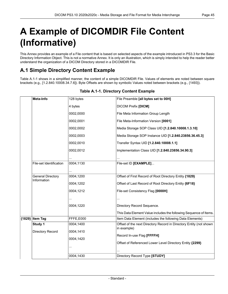# <span id="page-44-0"></span>**A Example of DICOMDIR File Content (Informative)**

<span id="page-44-1"></span>This Annex provides an example of a File content that is based on selected aspects of the example introduced in [PS3.3](part03.pdf#PS3.3) for the Basic Directory Information Object. This is not a normative Annex. It is only an illustration, which is simply intended to help the reader better understand the organization of a DICOM Directory stored in a DICOMDIR File.

## **A.1 Simple Directory Content Example**

<span id="page-44-2"></span>[Table](#page-44-2) A.1-1 shows in a simplified manner, the content of a simple DICOMDIR File. Values of elements are noted between square brackets (e.g., [1.2.840.10008.34.7.6]). Byte Offsets are shown by symbolic Values noted between brackets (e.g., {1493}).

| Meta-Info                               | 128 bytes | File Preamble [all bytes set to 00H]                               |
|-----------------------------------------|-----------|--------------------------------------------------------------------|
|                                         | 4 bytes   | DICOM Prefix [DICM]                                                |
|                                         | 0002,0000 | File Meta Information Group Length                                 |
|                                         | 0002,0001 | File Meta-Information Version [0001]                               |
|                                         | 0002,0002 | Media Storage SOP Class UID [1.2.840.10008.1.3.10]                 |
|                                         | 0002,0003 | Media Storage SOP Instance UID [1.2.840.23856.36.45.3]             |
|                                         | 0002,0010 | Transfer Syntax UID [1.2.840.10008.1.1]                            |
|                                         | 0002,0012 | Implementation Class UID [1.2.840.23856.34.90.3]                   |
|                                         |           |                                                                    |
| File-set Identification                 | 0004,1130 | File-set ID [EXAMPLE]                                              |
|                                         | .         |                                                                    |
| <b>General Directory</b><br>Information | 0004,1200 | Offset of First Record of Root Directory Entity {1829}             |
|                                         | 0004,1202 | Offset of Last Record of Root Directory Entity {6F18}              |
|                                         | 0004,1212 | File-set Consistency Flag [0000H]                                  |
|                                         |           |                                                                    |
|                                         | 0004,1220 | Directory Record Sequence.                                         |
|                                         |           | This Data Element Value includes the following Sequence of Items.  |
| {1829} Item Tag                         | FFFE,E000 | Item Data Element (includes the following Data Elements)           |
| Study 1                                 | 0004,1400 | Offset of the next Directory Record in Directory Entity (not shown |
| Directory Record                        | 0004,1410 | in example)                                                        |
|                                         | 0004,1420 | Record In-use Flag [FFFFH]                                         |
|                                         |           | Offset of Referenced Lower Level Directory Entity {2299}           |
|                                         |           |                                                                    |
|                                         | 0004,1430 | Directory Record Type [STUDY]                                      |

#### **Table A.1-1. Directory Content Example**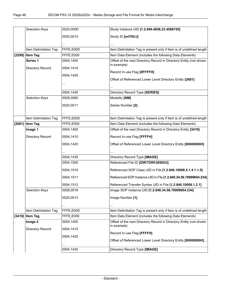|          | Selection Keys        | 0020,000D | Study Instance UID [1.2.840.4656.23.4568745]                         |
|----------|-----------------------|-----------|----------------------------------------------------------------------|
|          |                       |           |                                                                      |
|          |                       | 0020,0010 | Study ID [srt78UJ]                                                   |
|          |                       |           |                                                                      |
|          | Item Delimitation Tag | FFFE,E00D | Item Delimitation Tag is present only if Item is of undefined length |
| {2299}   | <b>Item Tag</b>       | FFFE,E000 | Item Data Element (includes the following Data Elements)             |
|          | Series <sub>1</sub>   | 0004,1400 | Offset of the next Directory Record in Directory Entity (not shown   |
|          | Directory Record      | 0004,1410 | in example)                                                          |
|          |                       | 0004,1420 | Record In-use Flag [OFFFFH]                                          |
|          |                       |           | Offset of Referenced Lower Level Directory Entity {2681}             |
|          |                       |           |                                                                      |
|          |                       | 0004,1430 | Directory Record Type [SERIES]                                       |
|          | Selection Keys        | 0008,0060 | Modality [NM]                                                        |
|          |                       |           |                                                                      |
|          |                       | 0020,0011 | Series Number [2]                                                    |
|          |                       |           |                                                                      |
|          | Item Delimitation Tag | FFFE,E00D | Item Delimitation Tag is present only if Item is of undefined length |
| ${2681}$ | <b>Item Tag</b>       | FFFE,E000 | Item Data Element (includes the following Data Elements)             |
|          | Image 1               | 0004,1400 | Offset of the next Directory Record in Directory Entity {3419}       |
|          | Directory Record      | 0004,1410 | Record In-use Flag [FFFFH]                                           |
|          |                       | 0004,1420 | Offset of Referenced Lower Level Directory Entity [00000000H]        |
|          |                       |           |                                                                      |
|          |                       | 0004,1430 | Directory Record Type [IMAGE]                                        |
|          |                       | 0004,1500 | Referenced File ID [DIR\TDRI\3856G3]                                 |
|          |                       | 0004,1510 | Referenced SOP Class UID in File [1.2.840.10008.5.1.4.1.1.5]         |
|          |                       | 0004,1511 | Referenced SOP Instance UID in File [1.2.840.34.56.78999654.234]     |
|          |                       | 0004,1512 | Referenced Transfer Syntax UID in File [1.2.840.10008.1.2.1]         |
|          | <b>Selection Kevs</b> | 0008,0018 | Image SOP Instance UID [1.2.840.34.56.78999654.234]                  |
|          |                       | 0020,0013 | Image Number [1]                                                     |
|          |                       |           |                                                                      |
|          | Item Delimitation Tag | FFFE,E00D | Item Delimitation Tag is present only if Item is of undefined length |
| ${3419}$ | <b>Item Tag</b>       | FFFE,E000 | Item Data Element (includes the following Data Elements)             |
|          | Image 2               | 0004,1400 | Offset of the next Directory Record in Directory Entity (not shown   |
|          |                       |           | in example)                                                          |
|          | Directory Record      | 0004,1410 | Record In-use Flag [FFFFH]                                           |
|          |                       | 0004,1420 |                                                                      |
|          |                       |           | Offset of Referenced Lower Level Directory Entity [00000000H]        |
|          |                       | 0004,1430 | Directory Record Type [IMAGE]                                        |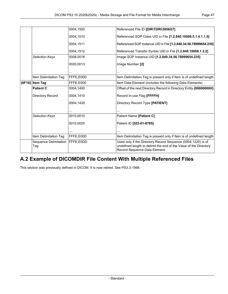|          |                              | 0004,1500 | Referenced File ID [DIR\TDRI\3856G7]                                                                                                                               |
|----------|------------------------------|-----------|--------------------------------------------------------------------------------------------------------------------------------------------------------------------|
|          |                              | 0004,1510 | Referenced SOP Class UID in File [1.2.840.10008.5.1.4.1.1.5]                                                                                                       |
|          |                              | 0004,1511 | Referenced SOP Instance UID in File [1.2.840.34.56.78999654.235]                                                                                                   |
|          |                              | 0004.1512 | Referenced Transfer Syntax UID in File [1.2.840.10008.1.2.2]                                                                                                       |
|          | <b>Selection Keys</b>        | 0008,0018 | Image SOP Instance UID [1.2.840.34.56.78999654.235]                                                                                                                |
|          |                              | 0020,0013 | Image Number [2]                                                                                                                                                   |
|          |                              |           |                                                                                                                                                                    |
|          | Item Delimitation Tag        | FFFE,E00D | Item Delimitation Tag is present only if Item is of undefined length                                                                                               |
| ${6F18}$ | <b>Item Tag</b>              | FFFE,E000 | Item Data Element (includes the following Data Elements)                                                                                                           |
|          | <b>Patient C</b>             | 0004.1400 | Offset of the next Directory Record in Directory Entity {00000000H}                                                                                                |
|          | Directory Record             | 0004,1410 | Record In-use Flag [FFFFH]                                                                                                                                         |
|          |                              | 0004,1430 | Directory Record Type [PATIENT]                                                                                                                                    |
|          |                              |           |                                                                                                                                                                    |
|          | <b>Selection Keys</b>        | 0010,0010 | Patient Name [Patient C]                                                                                                                                           |
|          |                              | 0010.0020 | Patient ID [523-61-8765]                                                                                                                                           |
|          |                              | .         | .                                                                                                                                                                  |
|          | Item Delimitation Tag        | FFFE,E00D | Item Delimitation Tag is present only if Item is of undefined length                                                                                               |
|          | Sequence Delimitation<br>Tag | FFFE,E0DD | Used only if the Directory Record Sequence (0004,1220) is of<br>undefined length to delimit the end of the Value of the Directory<br>Record Sequence Data Element. |

## <span id="page-46-0"></span>**A.2 Example of DICOMDIR File Content With Multiple Referenced Files**

This section was previously defined in DICOM. It is now retired. See PS3.3-1998.